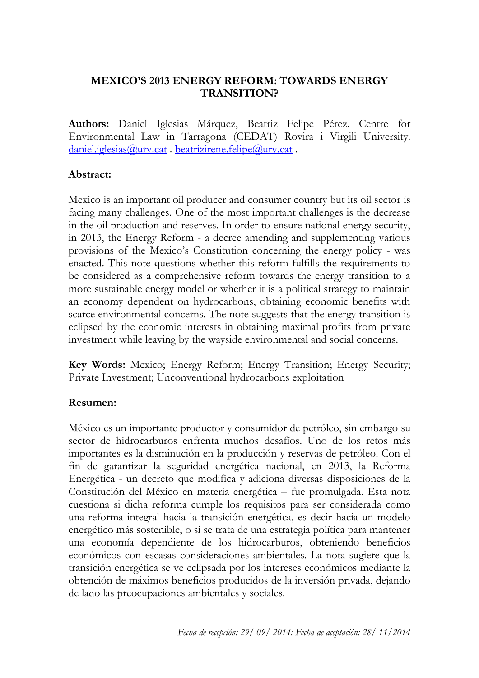# **MEXICO'S 2013 ENERGY REFORM: TOWARDS ENERGY TRANSITION?**

**Authors:** Daniel Iglesias Márquez, Beatriz Felipe Pérez. Centre for Environmental Law in Tarragona (CEDAT) Rovira i Virgili University.  $daniel.iglesias@urv.cat. be a trizirene. felipe@urv.cat.$  $daniel.iglesias@urv.cat. be a trizirene. felipe@urv.cat.$ 

### **Abstract:**

Mexico is an important oil producer and consumer country but its oil sector is facing many challenges. One of the most important challenges is the decrease in the oil production and reserves. In order to ensure national energy security, in 2013, the Energy Reform - a decree amending and supplementing various provisions of the Mexico's Constitution concerning the energy policy - was enacted. This note questions whether this reform fulfills the requirements to be considered as a comprehensive reform towards the energy transition to a more sustainable energy model or whether it is a political strategy to maintain an economy dependent on hydrocarbons, obtaining economic benefits with scarce environmental concerns. The note suggests that the energy transition is eclipsed by the economic interests in obtaining maximal profits from private investment while leaving by the wayside environmental and social concerns.

**Key Words:** Mexico; Energy Reform; Energy Transition; Energy Security; Private Investment; Unconventional hydrocarbons exploitation

### **Resumen:**

México es un importante productor y consumidor de petróleo, sin embargo su sector de hidrocarburos enfrenta muchos desafíos. Uno de los retos más importantes es la disminución en la producción y reservas de petróleo. Con el fin de garantizar la seguridad energética nacional, en 2013, la Reforma Energética - un decreto que modifica y adiciona diversas disposiciones de la Constitución del México en materia energética – fue promulgada. Esta nota cuestiona si dicha reforma cumple los requisitos para ser considerada como una reforma integral hacia la transición energética, es decir hacia un modelo energético más sostenible, o si se trata de una estrategia política para mantener una economía dependiente de los hidrocarburos, obteniendo beneficios económicos con escasas consideraciones ambientales. La nota sugiere que la transición energética se ve eclipsada por los intereses económicos mediante la obtención de máximos beneficios producidos de la inversión privada, dejando de lado las preocupaciones ambientales y sociales.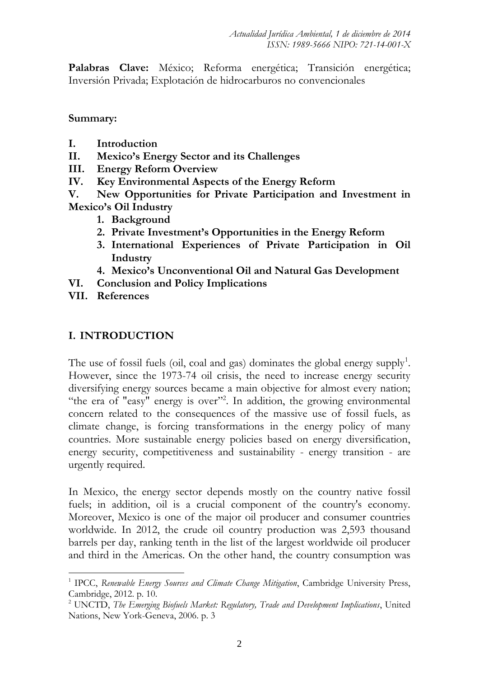Palabras Clave: México; Reforma energética; Transición energética; Inversión Privada; Explotación de hidrocarburos no convencionales

#### **Summary:**

- **I. Introduction**
- **II. Mexico's Energy Sector and its Challenges**
- **III. Energy Reform Overview**
- **IV. Key Environmental Aspects of the Energy Reform**
- **V. New Opportunities for Private Participation and Investment in Mexico's Oil Industry**
	- **1. Background**
	- **2. Private Investment's Opportunities in the Energy Reform**
	- **3. International Experiences of Private Participation in Oil Industry**
	- **4. Mexico's Unconventional Oil and Natural Gas Development**
- **VI. Conclusion and Policy Implications**
- **VII. References**

<u>.</u>

# **I. INTRODUCTION**

The use of fossil fuels (oil, coal and gas) dominates the global energy supply<sup>1</sup>. However, since the 1973-74 oil crisis, the need to increase energy security diversifying energy sources became a main objective for almost every nation; "the era of "easy" energy is over"<sup>2</sup>. In addition, the growing environmental concern related to the consequences of the massive use of fossil fuels, as climate change, is forcing transformations in the energy policy of many countries. More sustainable energy policies based on energy diversification, energy security, competitiveness and sustainability - energy transition - are urgently required.

In Mexico, the energy sector depends mostly on the country native fossil fuels; in addition, oil is a crucial component of the country's economy. Moreover, Mexico is one of the major oil producer and consumer countries worldwide. In 2012, the crude oil country production was 2,593 thousand barrels per day, ranking tenth in the list of the largest worldwide oil producer and third in the Americas. On the other hand, the country consumption was

<sup>&</sup>lt;sup>1</sup> IPCC, Renewable Energy Sources and Climate Change Mitigation, Cambridge University Press, Cambridge, 2012. p. 10.

<sup>2</sup> UNCTD, *The Emerging Biofuels Market: Regulatory, Trade and Development Implications*, United Nations, New York-Geneva, 2006. p. 3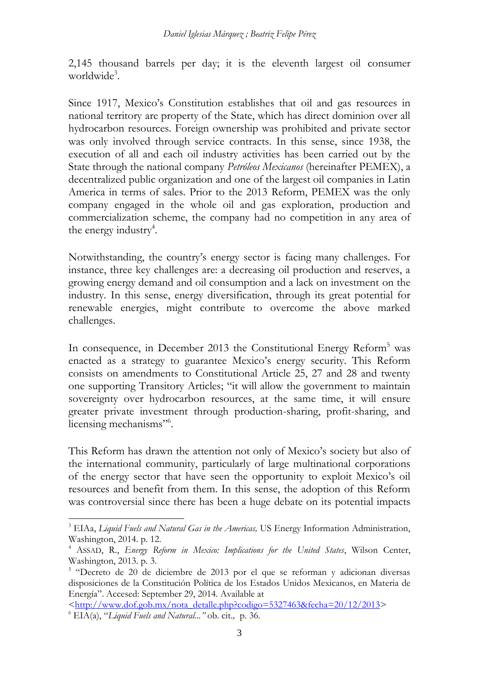2,145 thousand barrels per day; it is the eleventh largest oil consumer worldwide<sup>3</sup>.

Since 1917, Mexico's Constitution establishes that oil and gas resources in national territory are property of the State, which has direct dominion over all hydrocarbon resources. Foreign ownership was prohibited and private sector was only involved through service contracts. In this sense, since 1938, the execution of all and each oil industry activities has been carried out by the State through the national company *Petróleos Mexicanos* (hereinafter PEMEX), a decentralized public organization and one of the largest oil companies in Latin America in terms of sales. Prior to the 2013 Reform, PEMEX was the only company engaged in the whole oil and gas exploration, production and commercialization scheme, the company had no competition in any area of the energy industry<sup>4</sup>.

Notwithstanding, the country's energy sector is facing many challenges. For instance, three key challenges are: a decreasing oil production and reserves, a growing energy demand and oil consumption and a lack on investment on the industry. In this sense, energy diversification, through its great potential for renewable energies, might contribute to overcome the above marked challenges.

In consequence, in December 2013 the Constitutional Energy Reform<sup>5</sup> was enacted as a strategy to guarantee Mexico's energy security. This Reform consists on amendments to Constitutional Article 25, 27 and 28 and twenty one supporting Transitory Articles; "it will allow the government to maintain sovereignty over hydrocarbon resources, at the same time, it will ensure greater private investment through production-sharing, profit-sharing, and licensing mechanisms"<sup>6</sup>.

This Reform has drawn the attention not only of Mexico's society but also of the international community, particularly of large multinational corporations of the energy sector that have seen the opportunity to exploit Mexico's oil resources and benefit from them. In this sense, the adoption of this Reform was controversial since there has been a huge debate on its potential impacts

<sup>3</sup> EIAa, *Liquid Fuels and Natural Gas in the Americas,* US Energy Information Administration, Washington, 2014. p. 12.

<sup>4</sup> ASSAD, R., *Energy Reform in Mexico: Implications for the United States*, Wilson Center, Washington, 2013. p. 3.

<sup>&</sup>lt;sup>5</sup> "Decreto de 20 de diciembre de 2013 por el que se reforman y adicionan diversas disposiciones de la Constitución Política de los Estados Unidos Mexicanos, en Materia de Energía". Accesed: September 29, 2014. Available at

[<sup>&</sup>lt;http://www.dof.gob.mx/nota\\_detalle.php?codigo=5327463&fecha=20/12/2013>](http://www.dof.gob.mx/nota_detalle.php?codigo=5327463&fecha=20/12/2013)

<sup>6</sup> EIA(a), "*Liquid Fuels and Natural..."* ob. cit.*,* p. 36.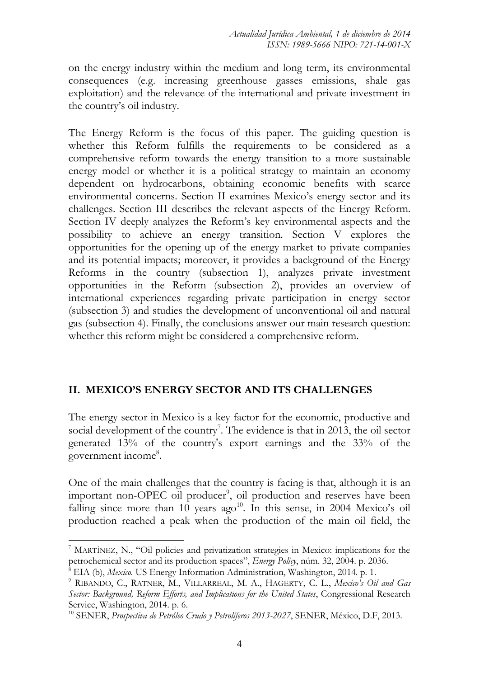on the energy industry within the medium and long term, its environmental consequences (e.g. increasing greenhouse gasses emissions, shale gas exploitation) and the relevance of the international and private investment in the country's oil industry.

The Energy Reform is the focus of this paper. The guiding question is whether this Reform fulfills the requirements to be considered as a comprehensive reform towards the energy transition to a more sustainable energy model or whether it is a political strategy to maintain an economy dependent on hydrocarbons, obtaining economic benefits with scarce environmental concerns. Section II examines Mexico's energy sector and its challenges. Section III describes the relevant aspects of the Energy Reform. Section IV deeply analyzes the Reform's key environmental aspects and the possibility to achieve an energy transition. Section V explores the opportunities for the opening up of the energy market to private companies and its potential impacts; moreover, it provides a background of the Energy Reforms in the country (subsection 1), analyzes private investment opportunities in the Reform (subsection 2), provides an overview of international experiences regarding private participation in energy sector (subsection 3) and studies the development of unconventional oil and natural gas (subsection 4). Finally, the conclusions answer our main research question: whether this reform might be considered a comprehensive reform.

#### **II. MEXICO'S ENERGY SECTOR AND ITS CHALLENGES**

The energy sector in Mexico is a key factor for the economic, productive and social development of the country<sup>7</sup>. The evidence is that in 2013, the oil sector generated 13% of the country's export earnings and the 33% of the government income<sup>8</sup>.

One of the main challenges that the country is facing is that, although it is an important non-OPEC oil producer<sup>9</sup>, oil production and reserves have been falling since more than  $10$  years ago<sup>10</sup>. In this sense, in 2004 Mexico's oil production reached a peak when the production of the main oil field, the

<sup>7</sup> MARTÍNEZ, N., "Oil policies and privatization strategies in Mexico: implications for the petrochemical sector and its production spaces", *Energy Policy*, núm. 32, 2004. p. 2036.

<sup>8</sup> EIA (b), *Mexico.* US Energy Information Administration, Washington, 2014. p. 1.

<sup>9</sup> RIBANDO, C., RATNER, M., VILLARREAL, M. A., HAGERTY, C. L., *Mexico's Oil and Gas Sector: Background, Reform Efforts, and Implications for the United States*, Congressional Research Service, Washington, 2014. p. 6.

<sup>10</sup> SENER, *Prospectiva de Petróleo Crudo y Petrolíferos 2013-2027*, SENER, México, D.F, 2013.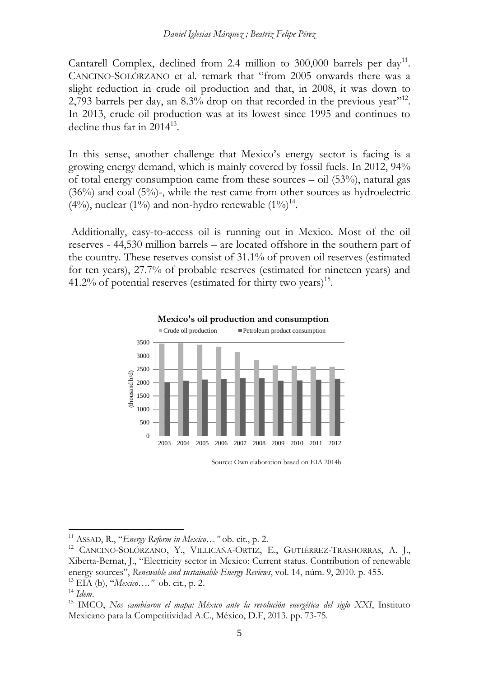Cantarell Complex, declined from 2.4 million to 300,000 barrels per day<sup>11</sup>. CANCINO-SOLÓRZANO et al. remark that "from 2005 onwards there was a slight reduction in crude oil production and that, in 2008, it was down to 2,793 barrels per day, an  $8.3\%$  drop on that recorded in the previous year"<sup>12</sup>. In 2013, crude oil production was at its lowest since 1995 and continues to decline thus far in 2014<sup>13</sup>.

In this sense, another challenge that Mexico's energy sector is facing is a growing energy demand, which is mainly covered by fossil fuels. In 2012, 94% of total energy consumption came from these sources  $-$  oil (53%), natural gas  $(36\%)$  and coal  $(5\%)$ , while the rest came from other sources as hydroelectric (4%), nuclear (1%) and non-hydro renewable  $(1\%)^{14}$ .

Additionally, easy-to-access oil is running out in Mexico. Most of the oil reserves - 44,530 million barrels – are located offshore in the southern part of the country. These reserves consist of 31.1% of proven oil reserves (estimated for ten years), 27.7% of probable reserves (estimated for nineteen years) and 41.2% of potential reserves (estimated for thirty two years)<sup>15</sup>.



Source: Own elaboration based on EIA 2014b

<sup>11</sup> ASSAD, R., "*Energy Reform in Mexico…"* ob. cit., p. 2.

<sup>&</sup>lt;sup>12</sup> CANCINO-SOLÓRZANO, Y., VILLICAÑA-ORTIZ, E., GUTIÉRREZ-TRASHORRAS, A. J., Xiberta-Bernat, J., "Electricity sector in Mexico: Current status. Contribution of renewable energy sources", *Renewable and sustainable Energy Reviews*, vol. 14, núm. 9, 2010. p. 455. <sup>13</sup> EIA (b), "*Mexico…."* ob. cit*.*, p. 2.

<sup>14</sup> *Idem*.

<sup>15</sup> IMCO, *Nos cambiaron el mapa: México ante la revolución energética del siglo XXI*, Instituto Mexicano para la Competitividad A.C., México, D.F, 2013. pp. 73-75.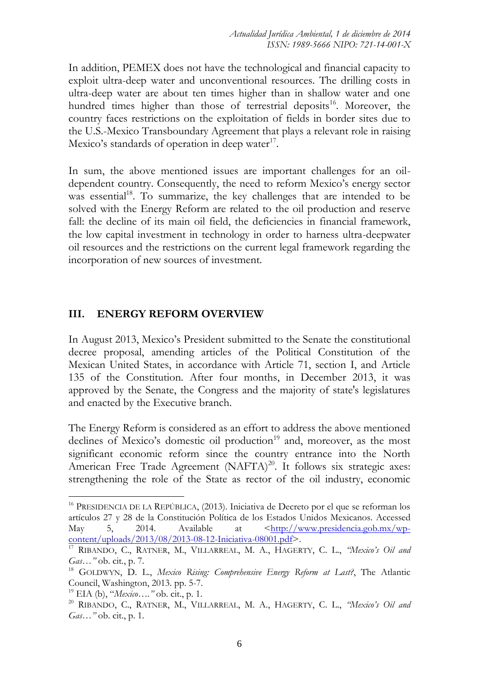In addition, PEMEX does not have the technological and financial capacity to exploit ultra-deep water and unconventional resources. The drilling costs in ultra-deep water are about ten times higher than in shallow water and one hundred times higher than those of terrestrial deposits<sup>16</sup>. Moreover, the country faces restrictions on the exploitation of fields in border sites due to the U.S.-Mexico Transboundary Agreement that plays a relevant role in raising Mexico's standards of operation in deep water<sup>17</sup>.

In sum, the above mentioned issues are important challenges for an oildependent country. Consequently, the need to reform Mexico's energy sector was essential<sup>18</sup>. To summarize, the key challenges that are intended to be solved with the Energy Reform are related to the oil production and reserve fall: the decline of its main oil field, the deficiencies in financial framework, the low capital investment in technology in order to harness ultra-deepwater oil resources and the restrictions on the current legal framework regarding the incorporation of new sources of investment.

### **III. ENERGY REFORM OVERVIEW**

In August 2013, Mexico's President submitted to the Senate the constitutional decree proposal, amending articles of the Political Constitution of the Mexican United States, in accordance with Article 71, section I, and Article 135 of the Constitution. After four months, in December 2013, it was approved by the Senate, the Congress and the majority of state's legislatures and enacted by the Executive branch.

The Energy Reform is considered as an effort to address the above mentioned declines of Mexico's domestic oil production<sup>19</sup> and, moreover, as the most significant economic reform since the country entrance into the North American Free Trade Agreement (NAFTA)<sup>20</sup>. It follows six strategic axes: strengthening the role of the State as rector of the oil industry, economic

 $16$  PRESIDENCIA DE LA REPÚBLICA, (2013). Iniciativa de Decreto por el que se reforman los artículos 27 y 28 de la Constitución Política de los Estados Unidos Mexicanos. Accessed May 5, 2014. Available at  $\frac{\text{http://www.presidencia.gov.mx/wp-}}{1}$ [content/uploads/2013/08/2013-08-12-Iniciativa-08001.pdf>](http://www.presidencia.gob.mx/wp-content/uploads/2013/08/2013-08-12-Iniciativa-08001.pdf).

<sup>17</sup> RIBANDO, C., RATNER, M., VILLARREAL, M. A., HAGERTY, C. L., *"Mexico's Oil and Gas…"* ob. cit*.*, p. 7.

<sup>18</sup> GOLDWYN, D. L., *Mexico Rising: Comprehensive Energy Reform at Last?*, The Atlantic Council, Washington, 2013. pp. 5-7.

<sup>19</sup> EIA (b), "*Mexico…."* ob. cit., p. 1.

<sup>20</sup> RIBANDO, C., RATNER, M., VILLARREAL, M. A., HAGERTY, C. L., *"Mexico's Oil and Gas…"* ob. cit., p. 1.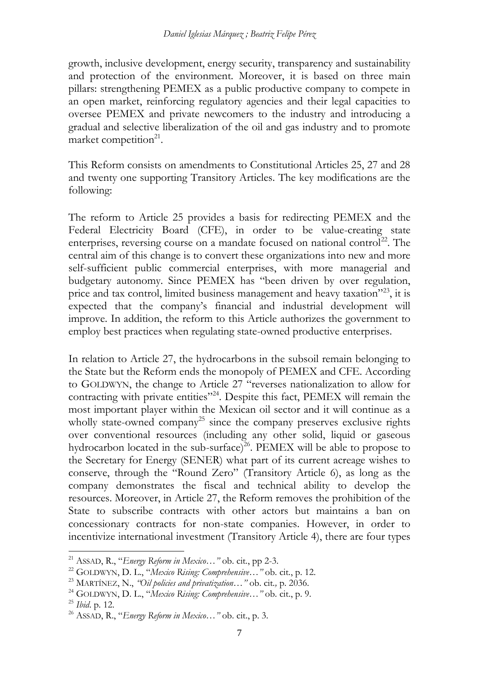growth, inclusive development, energy security, transparency and sustainability and protection of the environment. Moreover, it is based on three main pillars: strengthening PEMEX as a public productive company to compete in an open market, reinforcing regulatory agencies and their legal capacities to oversee PEMEX and private newcomers to the industry and introducing a gradual and selective liberalization of the oil and gas industry and to promote market competition<sup>21</sup>.

This Reform consists on amendments to Constitutional Articles 25, 27 and 28 and twenty one supporting Transitory Articles. The key modifications are the following:

The reform to Article 25 provides a basis for redirecting PEMEX and the Federal Electricity Board (CFE), in order to be value-creating state enterprises, reversing course on a mandate focused on national control<sup>22</sup>. The central aim of this change is to convert these organizations into new and more self-sufficient public commercial enterprises, with more managerial and budgetary autonomy. Since PEMEX has "been driven by over regulation, price and tax control, limited business management and heavy taxation"<sup>23</sup>, it is expected that the company's financial and industrial development will improve. In addition, the reform to this Article authorizes the government to employ best practices when regulating state-owned productive enterprises.

In relation to Article 27, the hydrocarbons in the subsoil remain belonging to the State but the Reform ends the monopoly of PEMEX and CFE. According to GOLDWYN, the change to Article 27 "reverses nationalization to allow for contracting with private entities"<sup>24</sup>. Despite this fact, PEMEX will remain the most important player within the Mexican oil sector and it will continue as a wholly state-owned company<sup>25</sup> since the company preserves exclusive rights over conventional resources (including any other solid, liquid or gaseous hydrocarbon located in the sub-surface)<sup>26</sup>. PEMEX will be able to propose to the Secretary for Energy (SENER) what part of its current acreage wishes to conserve, through the "Round Zero" (Transitory Article 6), as long as the company demonstrates the fiscal and technical ability to develop the resources. Moreover, in Article 27, the Reform removes the prohibition of the State to subscribe contracts with other actors but maintains a ban on concessionary contracts for non-state companies. However, in order to incentivize international investment (Transitory Article 4), there are four types

<sup>21</sup> ASSAD, R., "*Energy Reform in Mexico…"* ob. cit*.*, pp 2-3.

<sup>22</sup> GOLDWYN, D. L., "*Mexico Rising: Comprehensive…"* ob. cit*.*, p. 12.

<sup>23</sup> MARTÍNEZ, N., *"Oil policies and privatization…"* ob. cit*.,* p. 2036.

<sup>24</sup> GOLDWYN, D. L., "*Mexico Rising: Comprehensive…"* ob. cit., p. 9.

<sup>25</sup> *Ibid*. p. 12.

<sup>26</sup> ASSAD, R., "*Energy Reform in Mexico…"* ob. cit., p. 3.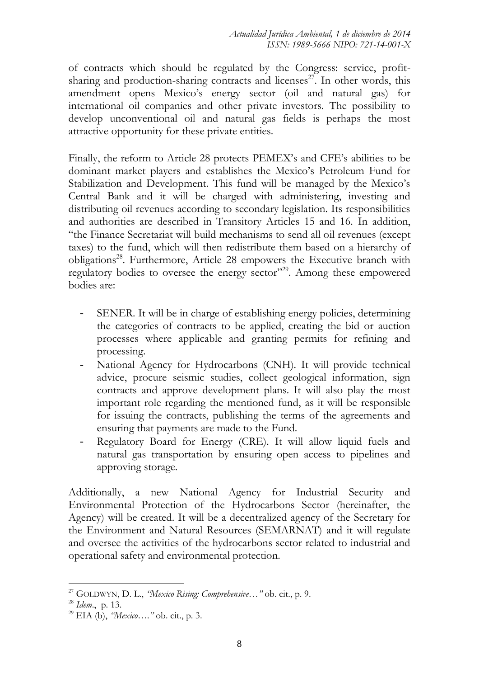of contracts which should be regulated by the Congress: service, profitsharing and production-sharing contracts and licenses $27$ . In other words, this amendment opens Mexico's energy sector (oil and natural gas) for international oil companies and other private investors. The possibility to develop unconventional oil and natural gas fields is perhaps the most attractive opportunity for these private entities.

Finally, the reform to Article 28 protects PEMEX's and CFE's abilities to be dominant market players and establishes the Mexico's Petroleum Fund for Stabilization and Development. This fund will be managed by the Mexico's Central Bank and it will be charged with administering, investing and distributing oil revenues according to secondary legislation. Its responsibilities and authorities are described in Transitory Articles 15 and 16. In addition, "the Finance Secretariat will build mechanisms to send all oil revenues (except taxes) to the fund, which will then redistribute them based on a hierarchy of obligations<sup>28</sup>. Furthermore, Article 28 empowers the Executive branch with regulatory bodies to oversee the energy sector"<sup>29</sup>. Among these empowered bodies are:

- SENER. It will be in charge of establishing energy policies, determining the categories of contracts to be applied, creating the bid or auction processes where applicable and granting permits for refining and processing.
- National Agency for Hydrocarbons (CNH). It will provide technical advice, procure seismic studies, collect geological information, sign contracts and approve development plans. It will also play the most important role regarding the mentioned fund, as it will be responsible for issuing the contracts, publishing the terms of the agreements and ensuring that payments are made to the Fund.
- Regulatory Board for Energy (CRE). It will allow liquid fuels and natural gas transportation by ensuring open access to pipelines and approving storage.

Additionally, a new National Agency for Industrial Security and Environmental Protection of the Hydrocarbons Sector (hereinafter, the Agency) will be created. It will be a decentralized agency of the Secretary for the Environment and Natural Resources (SEMARNAT) and it will regulate and oversee the activities of the hydrocarbons sector related to industrial and operational safety and environmental protection.

<sup>27</sup> GOLDWYN, D. L., *"Mexico Rising: Comprehensive…"* ob. cit., p. 9.

<sup>28</sup> *Idem*., p. 13.

<sup>29</sup> EIA (b), *"Mexico…."* ob. cit., p. 3.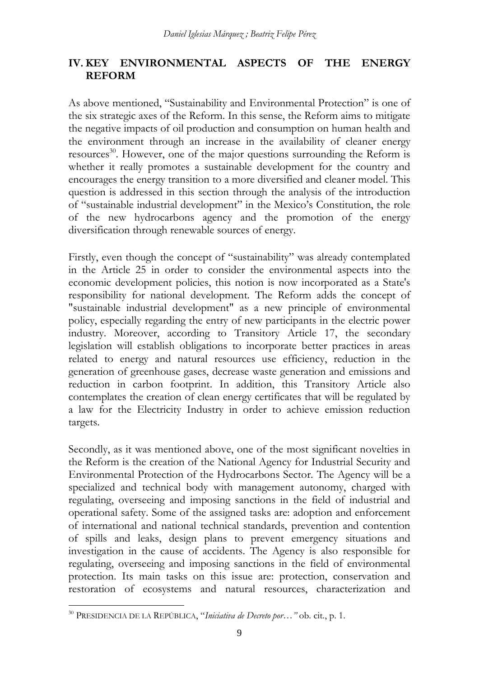# **IV. KEY ENVIRONMENTAL ASPECTS OF THE ENERGY REFORM**

As above mentioned, "Sustainability and Environmental Protection" is one of the six strategic axes of the Reform. In this sense, the Reform aims to mitigate the negative impacts of oil production and consumption on human health and the environment through an increase in the availability of cleaner energy resources<sup>30</sup>. However, one of the major questions surrounding the Reform is whether it really promotes a sustainable development for the country and encourages the energy transition to a more diversified and cleaner model. This question is addressed in this section through the analysis of the introduction of "sustainable industrial development" in the Mexico's Constitution, the role of the new hydrocarbons agency and the promotion of the energy diversification through renewable sources of energy.

Firstly, even though the concept of "sustainability" was already contemplated in the Article 25 in order to consider the environmental aspects into the economic development policies, this notion is now incorporated as a State's responsibility for national development. The Reform adds the concept of "sustainable industrial development" as a new principle of environmental policy, especially regarding the entry of new participants in the electric power industry. Moreover, according to Transitory Article 17, the secondary legislation will establish obligations to incorporate better practices in areas related to energy and natural resources use efficiency, reduction in the generation of greenhouse gases, decrease waste generation and emissions and reduction in carbon footprint. In addition, this Transitory Article also contemplates the creation of clean energy certificates that will be regulated by a law for the Electricity Industry in order to achieve emission reduction targets.

Secondly, as it was mentioned above, one of the most significant novelties in the Reform is the creation of the National Agency for Industrial Security and Environmental Protection of the Hydrocarbons Sector. The Agency will be a specialized and technical body with management autonomy, charged with regulating, overseeing and imposing sanctions in the field of industrial and operational safety. Some of the assigned tasks are: adoption and enforcement of international and national technical standards, prevention and contention of spills and leaks, design plans to prevent emergency situations and investigation in the cause of accidents. The Agency is also responsible for regulating, overseeing and imposing sanctions in the field of environmental protection. Its main tasks on this issue are: protection, conservation and restoration of ecosystems and natural resources, characterization and

<sup>30</sup> PRESIDENCIA DE LA REPÚBLICA, "*Iniciativa de Decreto por…"* ob. cit*.*, p. 1.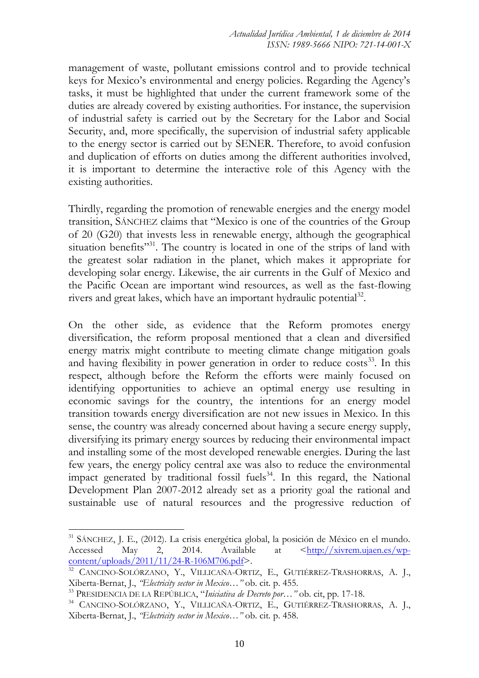management of waste, pollutant emissions control and to provide technical keys for Mexico's environmental and energy policies. Regarding the Agency's tasks, it must be highlighted that under the current framework some of the duties are already covered by existing authorities. For instance, the supervision of industrial safety is carried out by the Secretary for the Labor and Social Security, and, more specifically, the supervision of industrial safety applicable to the energy sector is carried out by SENER. Therefore, to avoid confusion and duplication of efforts on duties among the different authorities involved, it is important to determine the interactive role of this Agency with the existing authorities.

Thirdly, regarding the promotion of renewable energies and the energy model transition, SÁNCHEZ claims that "Mexico is one of the countries of the Group of 20 (G20) that invests less in renewable energy, although the geographical situation benefits"<sup>31</sup>. The country is located in one of the strips of land with the greatest solar radiation in the planet, which makes it appropriate for developing solar energy. Likewise, the air currents in the Gulf of Mexico and the Pacific Ocean are important wind resources, as well as the fast-flowing rivers and great lakes, which have an important hydraulic potential<sup>32</sup>.

On the other side, as evidence that the Reform promotes energy diversification, the reform proposal mentioned that a clean and diversified energy matrix might contribute to meeting climate change mitigation goals and having flexibility in power generation in order to reduce  $costs<sup>33</sup>$ . In this respect, although before the Reform the efforts were mainly focused on identifying opportunities to achieve an optimal energy use resulting in economic savings for the country, the intentions for an energy model transition towards energy diversification are not new issues in Mexico. In this sense, the country was already concerned about having a secure energy supply, diversifying its primary energy sources by reducing their environmental impact and installing some of the most developed renewable energies. During the last few years, the energy policy central axe was also to reduce the environmental impact generated by traditional fossil fuels $34$ . In this regard, the National Development Plan 2007-2012 already set as a priority goal the rational and sustainable use of natural resources and the progressive reduction of

<sup>31</sup> SÁNCHEZ, J. E., (2012). La crisis energética global, la posición de México en el mundo. Accessed May 2, 2014. Available at [<http://xivrem.ujaen.es/wp](http://xivrem.ujaen.es/wp-content/uploads/2011/11/24-R-106M706.pdf)[content/uploads/2011/11/24-R-106M706.pdf>](http://xivrem.ujaen.es/wp-content/uploads/2011/11/24-R-106M706.pdf).

<sup>&</sup>lt;sup>32</sup> CANCINO-SOLÓRZANO, Y., VILLICAÑA-ORTIZ, E., GUTIÉRREZ-TRASHORRAS, A. J., Xiberta-Bernat, J., *"Electricity sector in Mexico…"* ob. cit*.* p. 455.

<sup>33</sup> PRESIDENCIA DE LA REPÚBLICA, "*Iniciativa de Decreto por…"* ob. cit, pp. 17-18.

<sup>34</sup> CANCINO-SOLÓRZANO, Y., VILLICAÑA-ORTIZ, E., GUTIÉRREZ-TRASHORRAS, A. J., Xiberta-Bernat, J., *"Electricity sector in Mexico…"* ob. cit*.* p. 458.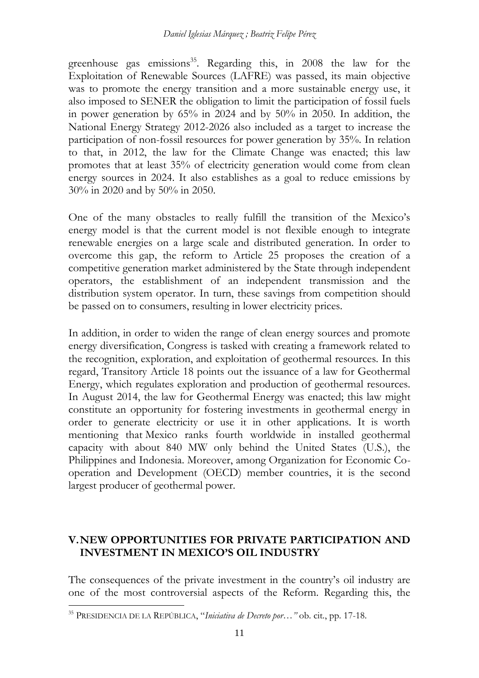greenhouse gas emissions<sup>35</sup>. Regarding this, in  $2008$  the law for the Exploitation of Renewable Sources (LAFRE) was passed, its main objective was to promote the energy transition and a more sustainable energy use, it also imposed to SENER the obligation to limit the participation of fossil fuels in power generation by 65% in 2024 and by 50% in 2050. In addition, the National Energy Strategy 2012-2026 also included as a target to increase the participation of non-fossil resources for power generation by 35%. In relation to that, in 2012, the law for the Climate Change was enacted; this law promotes that at least 35% of electricity generation would come from clean energy sources in 2024. It also establishes as a goal to reduce emissions by 30% in 2020 and by 50% in 2050.

One of the many obstacles to really fulfill the transition of the Mexico's energy model is that the current model is not flexible enough to integrate renewable energies on a large scale and distributed generation. In order to overcome this gap, the reform to Article 25 proposes the creation of a competitive generation market administered by the State through independent operators, the establishment of an independent transmission and the distribution system operator. In turn, these savings from competition should be passed on to consumers, resulting in lower electricity prices.

In addition, in order to widen the range of clean energy sources and promote energy diversification, Congress is tasked with creating a framework related to the recognition, exploration, and exploitation of geothermal resources. In this regard, Transitory Article 18 points out the issuance of a law for Geothermal Energy, which regulates exploration and production of geothermal resources. In August 2014, the law for Geothermal Energy was enacted; this law might constitute an opportunity for fostering investments in geothermal energy in order to generate electricity or use it in other applications. It is worth mentioning that Mexico ranks fourth worldwide in installed geothermal capacity with about 840 MW only behind the United States (U.S.), the Philippines and Indonesia. Moreover, among Organization for Economic Cooperation and Development (OECD) member countries, it is the second largest producer of geothermal power.

# **V.NEW OPPORTUNITIES FOR PRIVATE PARTICIPATION AND INVESTMENT IN MEXICO'S OIL INDUSTRY**

The consequences of the private investment in the country's oil industry are one of the most controversial aspects of the Reform. Regarding this, the

<sup>35</sup> PRESIDENCIA DE LA REPÚBLICA, "*Iniciativa de Decreto por…"* ob. cit*.*, pp. 17-18.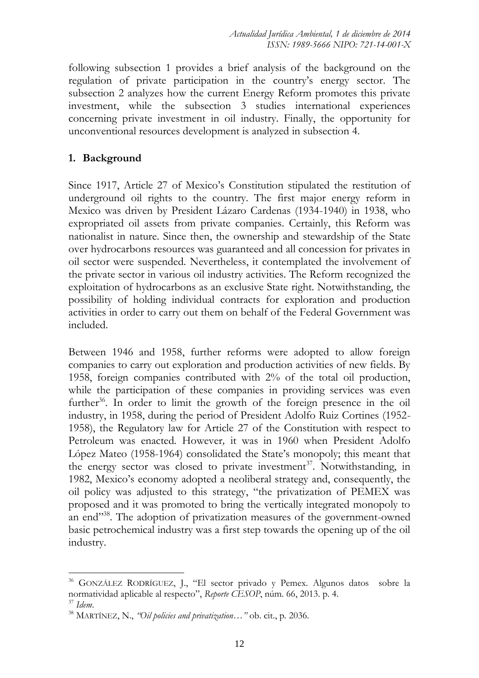following subsection 1 provides a brief analysis of the background on the regulation of private participation in the country's energy sector. The subsection 2 analyzes how the current Energy Reform promotes this private investment, while the subsection 3 studies international experiences concerning private investment in oil industry. Finally, the opportunity for unconventional resources development is analyzed in subsection 4.

#### **1. Background**

Since 1917, Article 27 of Mexico's Constitution stipulated the restitution of underground oil rights to the country. The first major energy reform in Mexico was driven by President Lázaro Cardenas (1934-1940) in 1938, who expropriated oil assets from private companies. Certainly, this Reform was nationalist in nature. Since then, the ownership and stewardship of the State over hydrocarbons resources was guaranteed and all concession for privates in oil sector were suspended. Nevertheless, it contemplated the involvement of the private sector in various oil industry activities. The Reform recognized the exploitation of hydrocarbons as an exclusive State right. Notwithstanding, the possibility of holding individual contracts for exploration and production activities in order to carry out them on behalf of the Federal Government was included.

Between 1946 and 1958, further reforms were adopted to allow foreign companies to carry out exploration and production activities of new fields. By 1958, foreign companies contributed with 2% of the total oil production, while the participation of these companies in providing services was even further<sup>36</sup>. In order to limit the growth of the foreign presence in the oil industry, in 1958, during the period of President Adolfo Ruiz Cortines (1952- 1958), the Regulatory law for Article 27 of the Constitution with respect to Petroleum was enacted*.* However*,* it was in 1960 when President Adolfo López Mateo (1958-1964) consolidated the State's monopoly; this meant that the energy sector was closed to private investment<sup>37</sup>. Notwithstanding, in 1982, Mexico's economy adopted a neoliberal strategy and, consequently, the oil policy was adjusted to this strategy, "the privatization of PEMEX was proposed and it was promoted to bring the vertically integrated monopoly to an end"<sup>38</sup>. The adoption of privatization measures of the government-owned basic petrochemical industry was a first step towards the opening up of the oil industry.

<sup>36</sup> GONZÁLEZ RODRÍGUEZ, J., "El sector privado y Pemex. Algunos datos sobre la normatividad aplicable al respecto", *Reporte CESOP*, núm. 66, 2013. p. 4.

<sup>37</sup> *Idem*.

<sup>38</sup> MARTÍNEZ, N., *"Oil policies and privatization…"* ob. cit., p*.* 2036.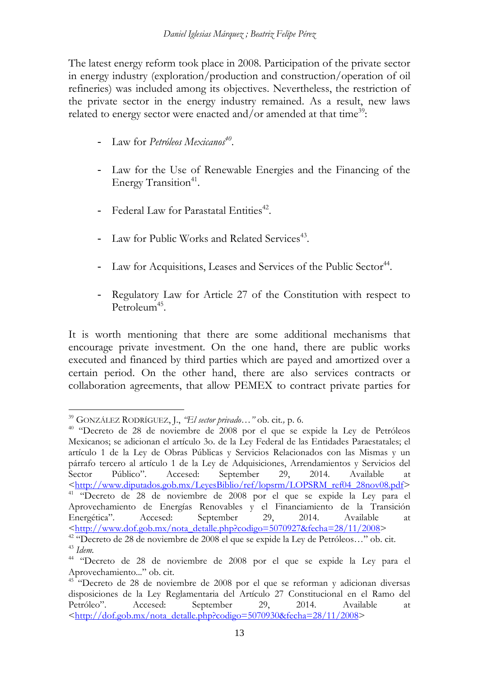The latest energy reform took place in 2008. Participation of the private sector in energy industry (exploration/production and construction/operation of oil refineries) was included among its objectives. Nevertheless, the restriction of the private sector in the energy industry remained. As a result, new laws related to energy sector were enacted and/or amended at that time<sup>39</sup>:

- Law for *Petróleos Mexicanos<sup>40</sup>* .
- Law for the Use of Renewable Energies and the Financing of the Energy Transition<sup>41</sup>.
- Federal Law for Parastatal Entities<sup>42</sup>.
- Law for Public Works and Related Services<sup>43</sup>.
- Law for Acquisitions, Leases and Services of the Public Sector<sup>44</sup>.
- Regulatory Law for Article 27 of the Constitution with respect to Petroleum<sup>45</sup>.

It is worth mentioning that there are some additional mechanisms that encourage private investment. On the one hand, there are public works executed and financed by third parties which are payed and amortized over a certain period. On the other hand, there are also services contracts or collaboration agreements, that allow PEMEX to contract private parties for

<sup>&</sup>lt;u>.</u> <sup>39</sup> GONZÁLEZ RODRÍGUEZ, J., *"El sector privado…"* ob. cit*.,* p. 6.

<sup>&</sup>lt;sup>40</sup> "Decreto de 28 de noviembre de 2008 por el que se expide la Ley de Petróleos Mexicanos; se adicionan el artículo 3o. de la Ley Federal de las Entidades Paraestatales; el artículo 1 de la Ley de Obras Públicas y Servicios Relacionados con las Mismas y un párrafo tercero al artículo 1 de la Ley de Adquisiciones, Arrendamientos y Servicios del Sector Público". Accesed: September 29, 2014. Available at [<http://www.diputados.gob.mx/LeyesBiblio/ref/lopsrm/LOPSRM\\_ref04\\_28nov08.pdf>](http://www.diputados.gob.mx/LeyesBiblio/ref/lopsrm/LOPSRM_ref04_28nov08.pdf) <sup>41</sup> "Decreto de 28 de noviembre de 2008 por el que se expide la Ley para el Aprovechamiento de Energías Renovables y el Financiamiento de la Transición Energética". Accesed: September 29, 2014. Available at [<http://www.dof.gob.mx/nota\\_detalle.php?codigo=5070927&fecha=28/11/2008>](http://www.dof.gob.mx/nota_detalle.php?codigo=5070927&fecha=28/11/2008)

<sup>&</sup>lt;sup>42</sup> "Decreto de 28 de noviembre de 2008 el que se expide la Ley de Petróleos..." ob. cit. <sup>43</sup> *Idem.* 

<sup>44</sup> "Decreto de 28 de noviembre de 2008 por el que se expide la Ley para el Aprovechamiento..." ob. cit.

<sup>&</sup>lt;sup>45</sup> "Decreto de 28 de noviembre de 2008 por el que se reforman y adicionan diversas disposiciones de la Ley Reglamentaria del Artículo 27 Constitucional en el Ramo del Petróleo". Accesed: September 29, 2014. Available at [<http://dof.gob.mx/nota\\_detalle.php?codigo=5070930&fecha=28/11/2008>](http://dof.gob.mx/nota_detalle.php?codigo=5070930&fecha=28/11/2008)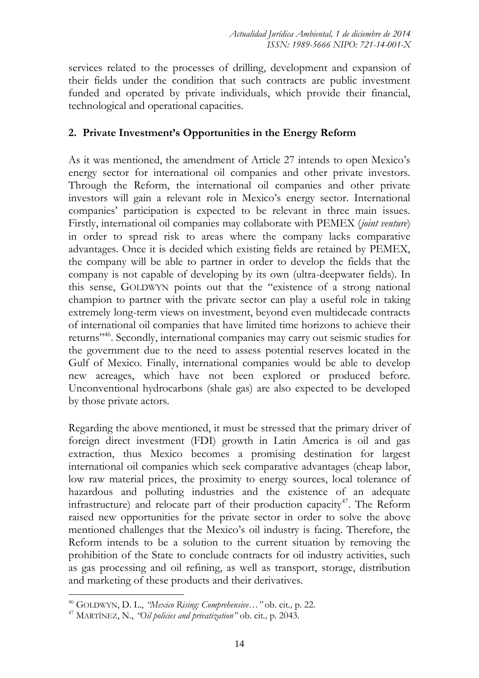services related to the processes of drilling, development and expansion of their fields under the condition that such contracts are public investment funded and operated by private individuals, which provide their financial, technological and operational capacities.

#### **2. Private Investment's Opportunities in the Energy Reform**

As it was mentioned, the amendment of Article 27 intends to open Mexico's energy sector for international oil companies and other private investors. Through the Reform, the international oil companies and other private investors will gain a relevant role in Mexico's energy sector. International companies' participation is expected to be relevant in three main issues. Firstly, international oil companies may collaborate with PEMEX (*joint venture*) in order to spread risk to areas where the company lacks comparative advantages. Once it is decided which existing fields are retained by PEMEX, the company will be able to partner in order to develop the fields that the company is not capable of developing by its own (ultra-deepwater fields). In this sense, GOLDWYN points out that the "existence of a strong national champion to partner with the private sector can play a useful role in taking extremely long-term views on investment, beyond even multidecade contracts of international oil companies that have limited time horizons to achieve their returns"<sup>46</sup>. Secondly, international companies may carry out seismic studies for the government due to the need to assess potential reserves located in the Gulf of Mexico. Finally, international companies would be able to develop new acreages, which have not been explored or produced before. Unconventional hydrocarbons (shale gas) are also expected to be developed by those private actors.

Regarding the above mentioned, it must be stressed that the primary driver of foreign direct investment (FDI) growth in Latin America is oil and gas extraction, thus Mexico becomes a promising destination for largest international oil companies which seek comparative advantages (cheap labor, low raw material prices, the proximity to energy sources, local tolerance of hazardous and polluting industries and the existence of an adequate infrastructure) and relocate part of their production capacity<sup>47</sup>. The Reform raised new opportunities for the private sector in order to solve the above mentioned challenges that the Mexico's oil industry is facing. Therefore, the Reform intends to be a solution to the current situation by removing the prohibition of the State to conclude contracts for oil industry activities, such as gas processing and oil refining, as well as transport, storage, distribution and marketing of these products and their derivatives.

<sup>46</sup> GOLDWYN, D. L., *"Mexico Rising: Comprehensive…"* ob. cit*.,* p. 22.

<sup>47</sup> MARTÍNEZ, N., *"Oil policies and privatization"* ob. cit*.,* p*.* 2043.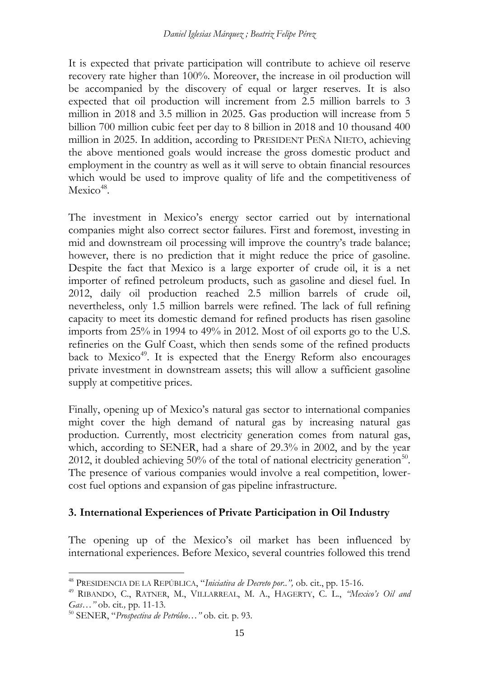It is expected that private participation will contribute to achieve oil reserve recovery rate higher than 100%. Moreover, the increase in oil production will be accompanied by the discovery of equal or larger reserves. It is also expected that oil production will increment from 2.5 million barrels to 3 million in 2018 and 3.5 million in 2025. Gas production will increase from 5 billion 700 million cubic feet per day to 8 billion in 2018 and 10 thousand 400 million in 2025. In addition, according to PRESIDENT PEÑA NIETO, achieving the above mentioned goals would increase the gross domestic product and employment in the country as well as it will serve to obtain financial resources which would be used to improve quality of life and the competitiveness of Mexico<sup>48</sup>.

The investment in Mexico's energy sector carried out by international companies might also correct sector failures. First and foremost, investing in mid and downstream oil processing will improve the country's trade balance; however, there is no prediction that it might reduce the price of gasoline. Despite the fact that Mexico is a large exporter of crude oil, it is a net importer of refined petroleum products, such as gasoline and diesel fuel. In 2012, daily oil production reached 2.5 million barrels of crude oil, nevertheless, only 1.5 million barrels were refined. The lack of full refining capacity to meet its domestic demand for refined products has risen gasoline imports from 25% in 1994 to 49% in 2012. Most of oil exports go to the U.S. refineries on the Gulf Coast, which then sends some of the refined products back to Mexico<sup>49</sup>. It is expected that the Energy Reform also encourages private investment in downstream assets; this will allow a sufficient gasoline supply at competitive prices.

Finally, opening up of Mexico's natural gas sector to international companies might cover the high demand of natural gas by increasing natural gas production. Currently, most electricity generation comes from natural gas, which, according to SENER, had a share of 29.3% in 2002, and by the year 2012, it doubled achieving  $50\%$  of the total of national electricity generation<sup>50</sup>. The presence of various companies would involve a real competition, lowercost fuel options and expansion of gas pipeline infrastructure.

# **3. International Experiences of Private Participation in Oil Industry**

The opening up of the Mexico's oil market has been influenced by international experiences. Before Mexico, several countries followed this trend

<sup>48</sup> PRESIDENCIA DE LA REPÚBLICA, "*Iniciativa de Decreto por..",* ob. cit., pp. 15-16.

<sup>49</sup> RIBANDO, C., RATNER, M., VILLARREAL, M. A., HAGERTY, C. L., *"Mexico's Oil and Gas…"* ob. cit*.,* pp. 11-13*.*

<sup>50</sup> SENER, "*Prospectiva de Petróleo…"* ob. cit*.* p. 93.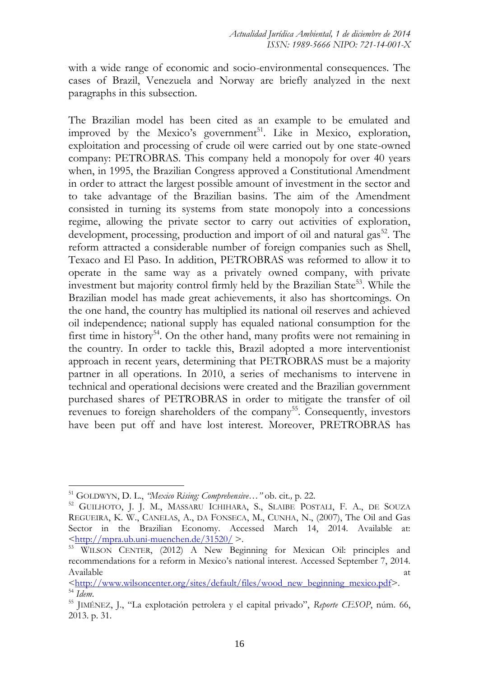with a wide range of economic and socio-environmental consequences. The cases of Brazil, Venezuela and Norway are briefly analyzed in the next paragraphs in this subsection.

The Brazilian model has been cited as an example to be emulated and improved by the Mexico's government<sup>51</sup>. Like in Mexico, exploration, exploitation and processing of crude oil were carried out by one state-owned company: PETROBRAS. This company held a monopoly for over 40 years when, in 1995, the Brazilian Congress approved a Constitutional Amendment in order to attract the largest possible amount of investment in the sector and to take advantage of the Brazilian basins. The aim of the Amendment consisted in turning its systems from state monopoly into a concessions regime, allowing the private sector to carry out activities of exploration, development, processing, production and import of oil and natural gas<sup>52</sup>. The reform attracted a considerable number of foreign companies such as Shell, Texaco and El Paso. In addition, PETROBRAS was reformed to allow it to operate in the same way as a privately owned company, with private investment but majority control firmly held by the Brazilian State<sup>53</sup>. While the Brazilian model has made great achievements, it also has shortcomings. On the one hand, the country has multiplied its national oil reserves and achieved oil independence; national supply has equaled national consumption for the first time in history<sup>54</sup>. On the other hand, many profits were not remaining in the country. In order to tackle this, Brazil adopted a more interventionist approach in recent years, determining that PETROBRAS must be a majority partner in all operations. In 2010, a series of mechanisms to intervene in technical and operational decisions were created and the Brazilian government purchased shares of PETROBRAS in order to mitigate the transfer of oil revenues to foreign shareholders of the company<sup>55</sup>. Consequently, investors have been put off and have lost interest. Moreover, PRETROBRAS has

<sup>51</sup> GOLDWYN, D. L., *"Mexico Rising: Comprehensive…"* ob. cit*.,* p. 22.

<sup>52</sup> GUILHOTO, J. J. M., MASSARU ICHIHARA, S., SLAIBE POSTALI, F. A., DE SOUZA REGUEIRA, K. W., CANELAS, A., DA FONSECA, M., CUNHA, N., (2007), The Oil and Gas Sector in the Brazilian Economy. Accessed March 14, 2014. Available at:  $\frac{\text{th}}{\text{t}}$ //mpra.ub.uni-muenchen.de/31520/ $>$ .

<sup>53</sup> WILSON CENTER, (2012) A New Beginning for Mexican Oil: principles and recommendations for a reform in Mexico's national interest. Accessed September 7, 2014. Available at a state of the state at a state of the state at a state at a state at a state  $\alpha$ 

[<sup>&</sup>lt;http://www.wilsoncenter.org/sites/default/files/wood\\_new\\_beginning\\_mexico.pdf>](http://www.wilsoncenter.org/sites/default/files/wood_new_beginning_mexico.pdf). <sup>54</sup> *Idem*.

<sup>55</sup> JIMÉNEZ, J., "La explotación petrolera y el capital privado", *Reporte CESOP*, núm. 66, 2013. p. 31.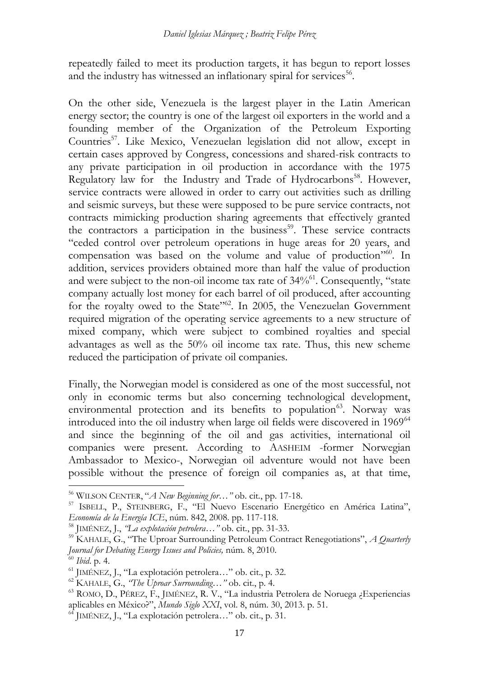repeatedly failed to meet its production targets, it has begun to report losses and the industry has witnessed an inflationary spiral for services<sup>56</sup>.

On the other side, Venezuela is the largest player in the Latin American energy sector; the country is one of the largest oil exporters in the world and a founding member of the Organization of the Petroleum Exporting Countries<sup>57</sup>. Like Mexico, Venezuelan legislation did not allow, except in certain cases approved by Congress, concessions and shared-risk contracts to any private participation in oil production in accordance with the 1975 Regulatory law for the Industry and Trade of Hydrocarbons<sup>58</sup>. However, service contracts were allowed in order to carry out activities such as drilling and seismic surveys, but these were supposed to be pure service contracts, not contracts mimicking production sharing agreements that effectively granted the contractors a participation in the business<sup>59</sup>. These service contracts "ceded control over petroleum operations in huge areas for 20 years, and compensation was based on the volume and value of production"<sup>60</sup>. In addition, services providers obtained more than half the value of production and were subject to the non-oil income tax rate of  $34\%$ <sup>61</sup>. Consequently, "state company actually lost money for each barrel of oil produced, after accounting for the royalty owed to the State"<sup>62</sup>. In 2005, the Venezuelan Government required migration of the operating service agreements to a new structure of mixed company, which were subject to combined royalties and special advantages as well as the 50% oil income tax rate. Thus, this new scheme reduced the participation of private oil companies.

Finally, the Norwegian model is considered as one of the most successful, not only in economic terms but also concerning technological development, environmental protection and its benefits to population $63$ . Norway was introduced into the oil industry when large oil fields were discovered in 1969<sup>64</sup> and since the beginning of the oil and gas activities, international oil companies were present. According to AASHEIM -former Norwegian Ambassador to Mexico-, Norwegian oil adventure would not have been possible without the presence of foreign oil companies as, at that time,

<sup>56</sup> WILSON CENTER, "*A New Beginning for…"* ob. cit*.*, pp. 17-18.

<sup>57</sup> ISBELL, P., STEINBERG, F., "El Nuevo Escenario Energético en América Latina", *Economía de la Energía ICE*, núm. 842, 2008. pp. 117-118.

<sup>58</sup> JIMÉNEZ, J., *"La explotación petrolera…"* ob. cit*.*, pp. 31-33.

<sup>59</sup> KAHALE, G., "The Uproar Surrounding Petroleum Contract Renegotiations", *A Quarterly Journal for Debating Energy Issues and Policies,* núm*.* 8, 2010.

<sup>60</sup> *Ibid*. p. 4.

 $<sup>61</sup>$  JIMÉNEZ, J., "La explotación petrolera..." ob. cit., p. 32.</sup>

<sup>62</sup> KAHALE, G., *"The Uproar Surrounding…"* ob. cit*.*, p. 4.

<sup>63</sup> ROMO, D., PÉREZ, F., JIMÉNEZ, R. V., "La industria Petrolera de Noruega ¿Experiencias aplicables en México?", *Mundo Siglo XXI*, vol. 8, núm. 30, 2013. p. 51.

 $^{64}$  JIMÉNEZ, J., "La explotación petrolera..." ob. cit., p. 31.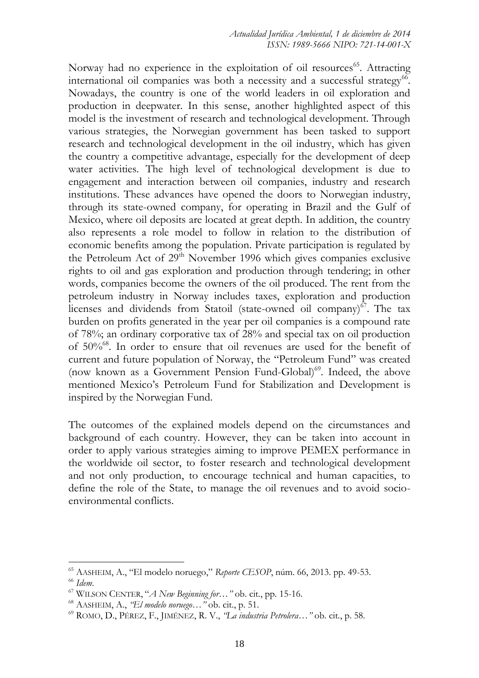Norway had no experience in the exploitation of oil resources<sup>65</sup>. Attracting international oil companies was both a necessity and a successful strategy<sup>66</sup>. Nowadays, the country is one of the world leaders in oil exploration and production in deepwater. In this sense, another highlighted aspect of this model is the investment of research and technological development. Through various strategies, the Norwegian government has been tasked to support research and technological development in the oil industry, which has given the country a competitive advantage, especially for the development of deep water activities. The high level of technological development is due to engagement and interaction between oil companies, industry and research institutions. These advances have opened the doors to Norwegian industry, through its state-owned company, for operating in Brazil and the Gulf of Mexico, where oil deposits are located at great depth. In addition, the country also represents a role model to follow in relation to the distribution of economic benefits among the population. Private participation is regulated by the Petroleum Act of 29<sup>th</sup> November 1996 which gives companies exclusive rights to oil and gas exploration and production through tendering; in other words, companies become the owners of the oil produced. The rent from the petroleum industry in Norway includes taxes, exploration and production licenses and dividends from Statoil (state-owned oil company) $\delta$ . The tax burden on profits generated in the year per oil companies is a compound rate of 78%; an ordinary corporative tax of 28% and special tax on oil production of 50%<sup>68</sup>. In order to ensure that oil revenues are used for the benefit of current and future population of Norway, the "Petroleum Fund" was created (now known as a Government Pension Fund-Global)<sup>69</sup>. Indeed, the above mentioned Mexico's Petroleum Fund for Stabilization and Development is inspired by the Norwegian Fund.

The outcomes of the explained models depend on the circumstances and background of each country. However, they can be taken into account in order to apply various strategies aiming to improve PEMEX performance in the worldwide oil sector, to foster research and technological development and not only production, to encourage technical and human capacities, to define the role of the State, to manage the oil revenues and to avoid socioenvironmental conflicts.

<sup>65</sup> AASHEIM, A., "El modelo noruego," *Reporte CESOP*, núm. 66, 2013. pp. 49-53. <sup>66</sup> *Idem*.

<sup>67</sup> WILSON CENTER, "*A New Beginning for…"* ob. cit*.*, pp. 15-16.

<sup>68</sup> AASHEIM, A., *"El modelo noruego…"* ob. cit., p. 51.

<sup>69</sup> ROMO, D., PÉREZ, F., JIMÉNEZ, R. V., *"La industria Petrolera…"* ob. cit*.*, p. 58.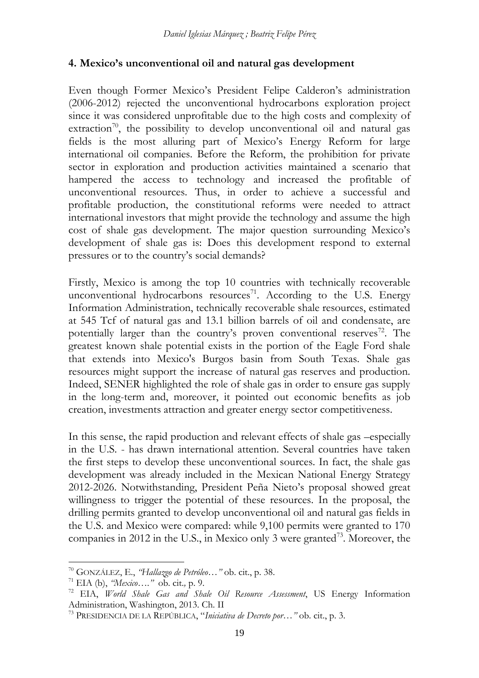### **4. Mexico's unconventional oil and natural gas development**

Even though Former Mexico's President Felipe Calderon's administration (2006-2012) rejected the unconventional hydrocarbons exploration project since it was considered unprofitable due to the high costs and complexity of extraction<sup>70</sup>, the possibility to develop unconventional oil and natural gas fields is the most alluring part of Mexico's Energy Reform for large international oil companies. Before the Reform, the prohibition for private sector in exploration and production activities maintained a scenario that hampered the access to technology and increased the profitable of unconventional resources. Thus, in order to achieve a successful and profitable production, the constitutional reforms were needed to attract international investors that might provide the technology and assume the high cost of shale gas development. The major question surrounding Mexico's development of shale gas is: Does this development respond to external pressures or to the country's social demands?

Firstly, Mexico is among the top 10 countries with technically recoverable unconventional hydrocarbons resources<sup>71</sup>. According to the U.S. Energy Information Administration, technically recoverable shale resources, estimated at 545 Tcf of natural gas and 13.1 billion barrels of oil and condensate, are potentially larger than the country's proven conventional reserves<sup>72</sup>. The greatest known shale potential exists in the portion of the Eagle Ford shale that extends into Mexico's Burgos basin from South Texas. Shale gas resources might support the increase of natural gas reserves and production. Indeed, SENER highlighted the role of shale gas in order to ensure gas supply in the long-term and, moreover, it pointed out economic benefits as job creation, investments attraction and greater energy sector competitiveness.

In this sense, the rapid production and relevant effects of shale gas –especially in the U.S. - has drawn international attention. Several countries have taken the first steps to develop these unconventional sources. In fact, the shale gas development was already included in the Mexican National Energy Strategy 2012-2026. Notwithstanding, President Peña Nieto's proposal showed great willingness to trigger the potential of these resources. In the proposal, the drilling permits granted to develop unconventional oil and natural gas fields in the U.S. and Mexico were compared: while 9,100 permits were granted to 170 companies in 2012 in the U.S., in Mexico only 3 were granted<sup>73</sup>. Moreover, the

<sup>1</sup> <sup>70</sup> GONZÁLEZ, E., *"Hallazgo de Petróleo…"* ob. cit., p. 38.

<sup>71</sup> EIA (b), *"Mexico…."* ob. cit.*,* p. 9.

<sup>72</sup> EIA, *World Shale Gas and Shale Oil Resource Assessment*, US Energy Information Administration, Washington, 2013. Ch. II

<sup>73</sup> PRESIDENCIA DE LA REPÚBLICA, "*Iniciativa de Decreto por…"* ob. cit., p. 3.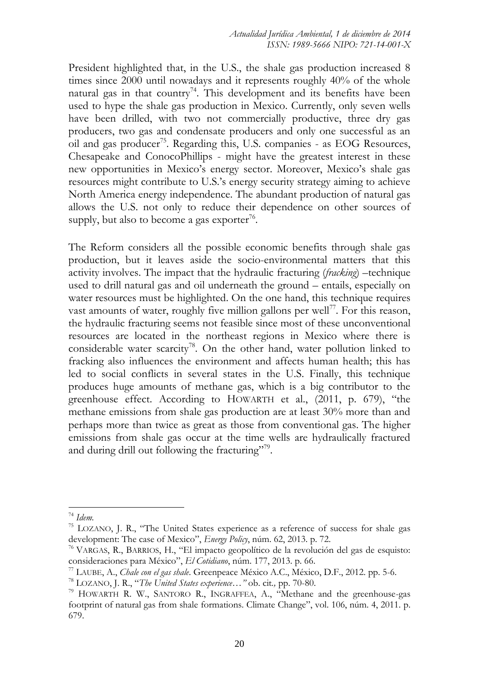President highlighted that, in the U.S., the shale gas production increased 8 times since 2000 until nowadays and it represents roughly 40% of the whole natural gas in that country<sup>74</sup>. This development and its benefits have been used to hype the shale gas production in Mexico. Currently, only seven wells have been drilled, with two not commercially productive, three dry gas producers, two gas and condensate producers and only one successful as an oil and gas producer<sup>75</sup>. Regarding this, U.S. companies - as EOG Resources, Chesapeake and ConocoPhillips - might have the greatest interest in these new opportunities in Mexico's energy sector. Moreover, Mexico's shale gas resources might contribute to U.S.'s energy security strategy aiming to achieve North America energy independence. The abundant production of natural gas allows the U.S. not only to reduce their dependence on other sources of supply, but also to become a gas exporter<sup>76</sup>.

The Reform considers all the possible economic benefits through shale gas production, but it leaves aside the socio-environmental matters that this activity involves. The impact that the hydraulic fracturing (*fracking*) –technique used to drill natural gas and oil underneath the ground – entails, especially on water resources must be highlighted. On the one hand, this technique requires vast amounts of water, roughly five million gallons per well<sup>77</sup>. For this reason, the hydraulic fracturing seems not feasible since most of these unconventional resources are located in the northeast regions in Mexico where there is considerable water scarcity<sup>78</sup>. On the other hand, water pollution linked to fracking also influences the environment and affects human health; this has led to social conflicts in several states in the U.S. Finally, this technique produces huge amounts of methane gas, which is a big contributor to the greenhouse effect. According to HOWARTH et al., (2011, p. 679), "the methane emissions from shale gas production are at least 30% more than and perhaps more than twice as great as those from conventional gas. The higher emissions from shale gas occur at the time wells are hydraulically fractured and during drill out following the fracturing"79.

<sup>74</sup> *Idem.*

<sup>75</sup> LOZANO, J. R., "The United States experience as a reference of success for shale gas development: The case of Mexico", *Energy Policy*, núm. 62, 2013. p. 72.

<sup>76</sup> VARGAS, R., BARRIOS, H., "El impacto geopolítico de la revolución del gas de esquisto: consideraciones para México", *El Cotidiano*, núm. 177, 2013. p. 66.

<sup>77</sup> LAUBE, A., *Chale con el gas shale*. Greenpeace México A.C., México, D.F., 2012. pp. 5-6.

<sup>78</sup> LOZANO, J. R., "*The United States experience…"* ob. cit*.,* pp. 70-80.

<sup>&</sup>lt;sup>79</sup> HOWARTH R. W., SANTORO R., INGRAFFEA, A., "Methane and the greenhouse-gas footprint of natural gas from shale formations. Climate Change", vol. 106, núm. 4, 2011. p. 679.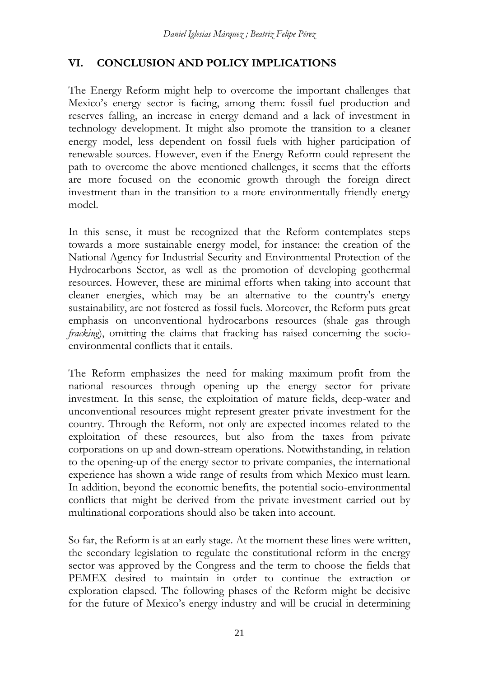# **VI. CONCLUSION AND POLICY IMPLICATIONS**

The Energy Reform might help to overcome the important challenges that Mexico's energy sector is facing, among them: fossil fuel production and reserves falling, an increase in energy demand and a lack of investment in technology development. It might also promote the transition to a cleaner energy model, less dependent on fossil fuels with higher participation of renewable sources. However, even if the Energy Reform could represent the path to overcome the above mentioned challenges, it seems that the efforts are more focused on the economic growth through the foreign direct investment than in the transition to a more environmentally friendly energy model.

In this sense, it must be recognized that the Reform contemplates steps towards a more sustainable energy model, for instance: the creation of the National Agency for Industrial Security and Environmental Protection of the Hydrocarbons Sector, as well as the promotion of developing geothermal resources. However, these are minimal efforts when taking into account that cleaner energies, which may be an alternative to the country's energy sustainability, are not fostered as fossil fuels. Moreover, the Reform puts great emphasis on unconventional hydrocarbons resources (shale gas through *fracking*), omitting the claims that fracking has raised concerning the socioenvironmental conflicts that it entails.

The Reform emphasizes the need for making maximum profit from the national resources through opening up the energy sector for private investment. In this sense, the exploitation of mature fields, deep-water and unconventional resources might represent greater private investment for the country. Through the Reform, not only are expected incomes related to the exploitation of these resources, but also from the taxes from private corporations on up and down-stream operations. Notwithstanding, in relation to the opening-up of the energy sector to private companies, the international experience has shown a wide range of results from which Mexico must learn. In addition, beyond the economic benefits, the potential socio-environmental conflicts that might be derived from the private investment carried out by multinational corporations should also be taken into account.

So far, the Reform is at an early stage. At the moment these lines were written, the secondary legislation to regulate the constitutional reform in the energy sector was approved by the Congress and the term to choose the fields that PEMEX desired to maintain in order to continue the extraction or exploration elapsed. The following phases of the Reform might be decisive for the future of Mexico's energy industry and will be crucial in determining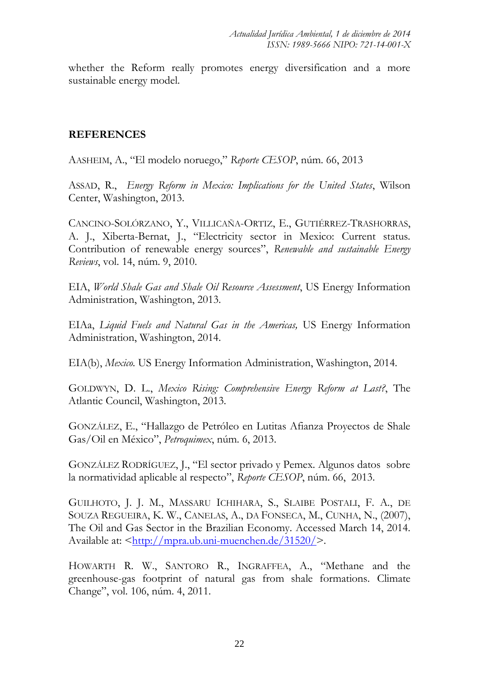whether the Reform really promotes energy diversification and a more sustainable energy model.

# **REFERENCES**

AASHEIM, A., "El modelo noruego," *Reporte CESOP*, núm. 66, 2013

ASSAD, R., *Energy Reform in Mexico: Implications for the United States*, Wilson Center, Washington, 2013.

CANCINO-SOLÓRZANO, Y., VILLICAÑA-ORTIZ, E., GUTIÉRREZ-TRASHORRAS, A. J., Xiberta-Bernat, J., "Electricity sector in Mexico: Current status. Contribution of renewable energy sources", *Renewable and sustainable Energy Reviews*, vol. 14, núm. 9, 2010.

EIA, *World Shale Gas and Shale Oil Resource Assessment*, US Energy Information Administration, Washington, 2013.

EIAa, *Liquid Fuels and Natural Gas in the Americas,* US Energy Information Administration, Washington, 2014.

EIA(b), *Mexico.* US Energy Information Administration, Washington, 2014.

GOLDWYN, D. L., *Mexico Rising: Comprehensive Energy Reform at Last?*, The Atlantic Council, Washington, 2013.

GONZÁLEZ, E., "Hallazgo de Petróleo en Lutitas Afianza Proyectos de Shale Gas/Oil en México", *Petroquimex*, núm. 6, 2013.

GONZÁLEZ RODRÍGUEZ, J., "El sector privado y Pemex. Algunos datos sobre la normatividad aplicable al respecto", *Reporte CESOP*, núm. 66, 2013.

GUILHOTO, J. J. M., MASSARU ICHIHARA, S., SLAIBE POSTALI, F. A., DE SOUZA REGUEIRA, K. W., CANELAS, A., DA FONSECA, M., CUNHA, N., (2007), The Oil and Gas Sector in the Brazilian Economy. Accessed March 14, 2014. Available at: [<http://mpra.ub.uni-muenchen.de/31520/>](http://mpra.ub.uni-muenchen.de/31520/).

HOWARTH R. W., SANTORO R., INGRAFFEA, A., "Methane and the greenhouse-gas footprint of natural gas from shale formations. Climate Change", vol. 106, núm. 4, 2011.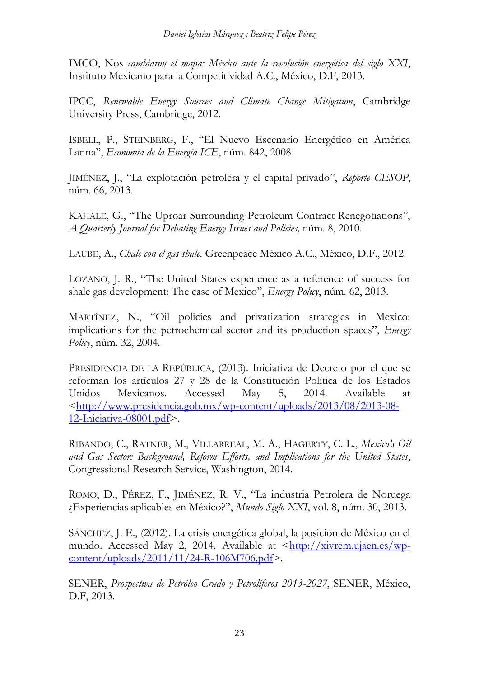IMCO, Nos *cambiaron el mapa: México ante la revolución energética del siglo XXI*, Instituto Mexicano para la Competitividad A.C., México, D.F, 2013.

IPCC, *Renewable Energy Sources and Climate Change Mitigation*, Cambridge University Press, Cambridge, 2012.

ISBELL, P., STEINBERG, F., "El Nuevo Escenario Energético en América Latina", *Economía de la Energía ICE*, núm. 842, 2008

JIMÉNEZ, J., "La explotación petrolera y el capital privado", *Reporte CESOP*, núm. 66, 2013.

KAHALE, G., "The Uproar Surrounding Petroleum Contract Renegotiations", *A Quarterly Journal for Debating Energy Issues and Policies,* núm*.* 8, 2010.

LAUBE, A., *Chale con el gas shale*. Greenpeace México A.C., México, D.F., 2012.

LOZANO, J. R., "The United States experience as a reference of success for shale gas development: The case of Mexico", *Energy Policy*, núm. 62, 2013.

MARTÍNEZ, N., "Oil policies and privatization strategies in Mexico: implications for the petrochemical sector and its production spaces", *Energy Policy*, núm. 32, 2004.

PRESIDENCIA DE LA REPÚBLICA, (2013). Iniciativa de Decreto por el que se reforman los artículos 27 y 28 de la Constitución Política de los Estados Unidos Mexicanos. Accessed May 5, 2014. Available at [<http://www.presidencia.gob.mx/wp-content/uploads/2013/08/2013-08-](http://www.presidencia.gob.mx/wp-content/uploads/2013/08/2013-08-12-Iniciativa-08001.pdf) [12-Iniciativa-08001.pdf>](http://www.presidencia.gob.mx/wp-content/uploads/2013/08/2013-08-12-Iniciativa-08001.pdf).

RIBANDO, C., RATNER, M., VILLARREAL, M. A., HAGERTY, C. L., *Mexico's Oil and Gas Sector: Background, Reform Efforts, and Implications for the United States*, Congressional Research Service, Washington, 2014.

ROMO, D., PÉREZ, F., JIMÉNEZ, R. V., "La industria Petrolera de Noruega ¿Experiencias aplicables en México?", *Mundo Siglo XXI*, vol. 8, núm. 30, 2013.

SÁNCHEZ, J. E., (2012). La crisis energética global, la posición de México en el mundo. Accessed May 2, 2014. Available at  $\langle \frac{http://xivrem.ujaen.es/wp-}{http://xivrem.ujaen.es/wp-} \rangle$ [content/uploads/2011/11/24-R-106M706.pdf>](http://xivrem.ujaen.es/wp-content/uploads/2011/11/24-R-106M706.pdf).

SENER, *Prospectiva de Petróleo Crudo y Petrolíferos 2013-2027*, SENER, México, D.F, 2013.